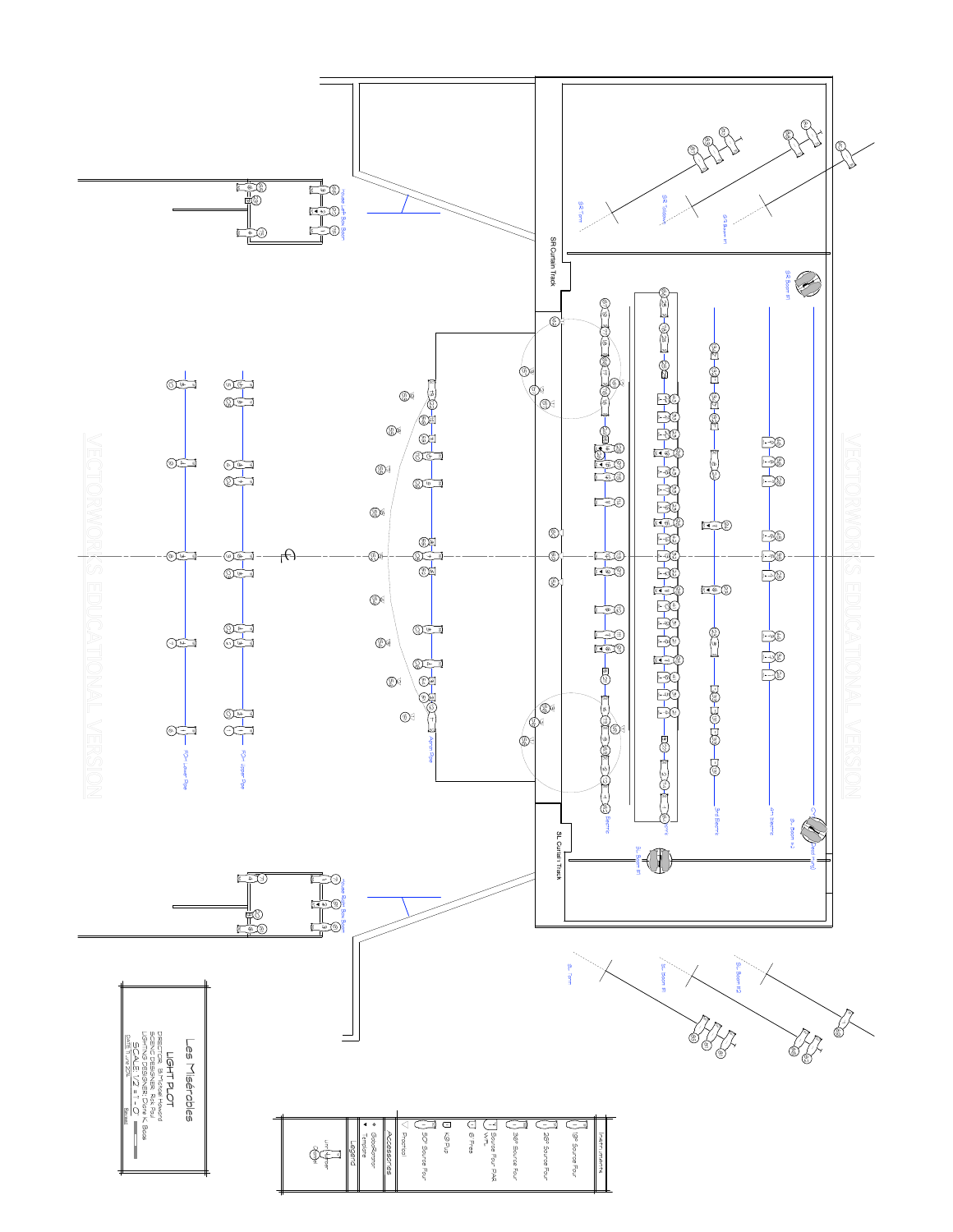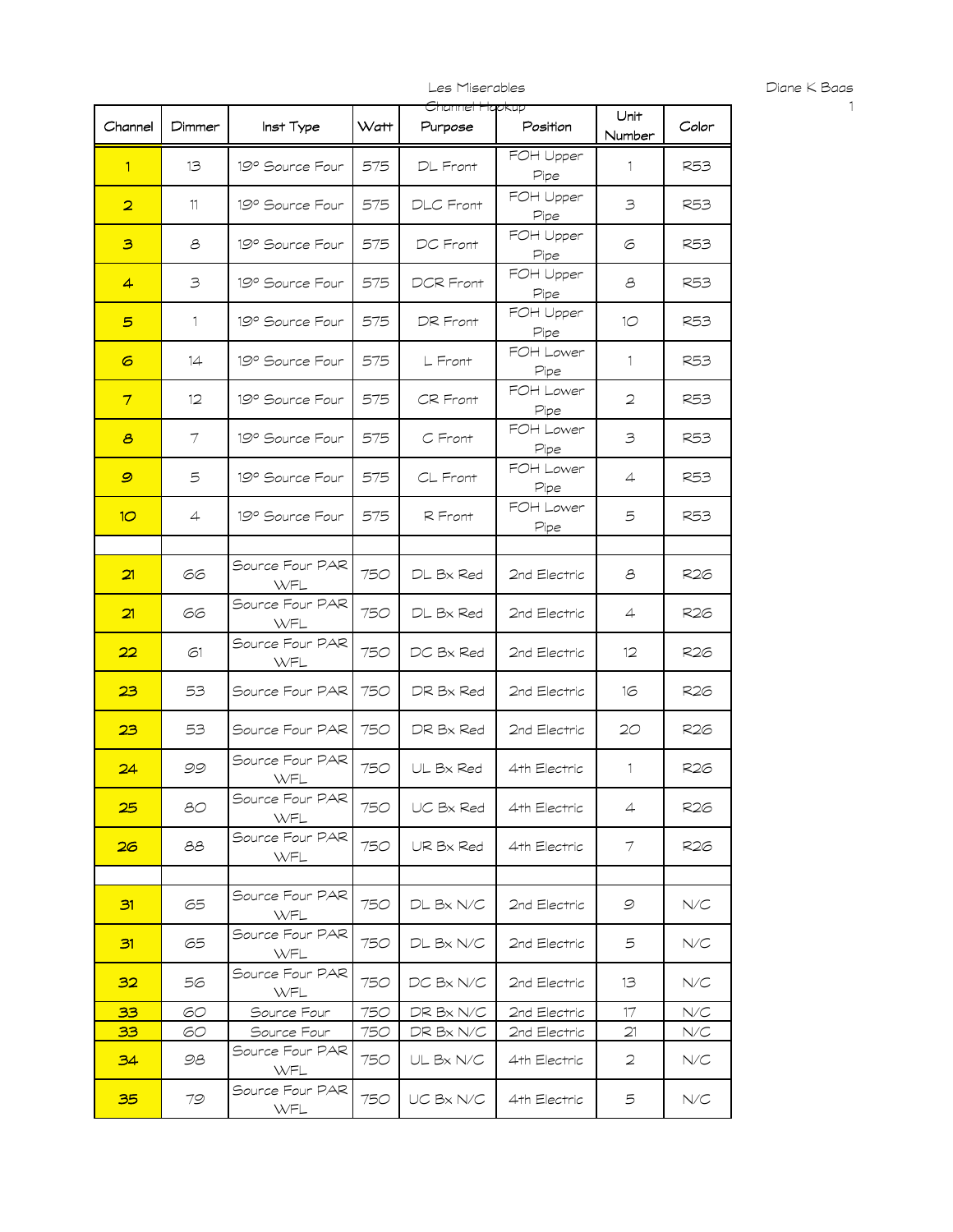Diane K Baas

|                         |              |                        |      | Channel Hapkup |                                              |                |            |
|-------------------------|--------------|------------------------|------|----------------|----------------------------------------------|----------------|------------|
| Channel                 | Dimmer       | Inst Type              | Watt | Purpose        | Position                                     | Unit<br>Number | Color      |
| 1.                      | 13           | 19° Source Four        | 575  | DL Front       | FOH Upper<br>Pipe                            | $\mathbf{1}$   | R53        |
| $\overline{\mathbf{2}}$ | 11           | 19° Source Four        | 575  | DLC Front      | FOH Upper<br>Pipe                            | 3              | R53        |
| з                       | 8            | 19° Source Four        | 575  | DC Front       | FOH Upper<br>Pipe                            | 6              | R53        |
| 4                       | 3            | 19° Source Four        | 575  | DCR Front      | FOH Upper<br>Pipe                            | 8              | R53        |
| 5                       | $\mathbf{1}$ | 19° Source Four        | 575  | DR Front       | FOH Upper<br>Pipe                            | 10             | R53        |
| 6                       | 14           | 19° Source Four        | 575  | L Front        | FOH Lower<br>Pipe                            | $\mathbf{1}$   | R53        |
| $\overline{\tau}$       | $12 \,$      | 19° Source Four        | 575  | CR Front       | FOH Lower<br>Pipe                            | 2              | <b>R53</b> |
| 8                       | 7            | 19° Source Four        | 575  | C Front        | FOH Lower<br>$\mathop{\mathcal{P}}\nolimits$ | 3              | R53        |
| 9                       | 5            | 19° Source Four        | 575  | $CL$ Front     | FOH Lower<br>Pipe                            | 4              | R53        |
| 10 <sup>°</sup>         | 4            | 19° Source Four        | 575  | R Front        | FOH Lower<br>Pipe                            | 5              | R53        |
|                         |              |                        |      |                |                                              |                |            |
| 21                      | 66           | Source Four PAR<br>WFL | 750  | DL Bx Red      | 2nd Electric                                 | 8              | R26        |
| 21                      | 66           | Source Four PAR<br>WFL | 750  | DL Bx Red      | 2nd Electric                                 | $\overline{4}$ | R26        |
| 22                      | 61           | Source Four PAR<br>WFL | 750  | DC Bx Red      | 2nd Electric                                 | 12             | R26        |
| 23                      | 53           | Source Four PAR        | 750  | DR Bx Red      | 2nd Electric                                 | 16             | R26        |
| 23                      | 53           | Source Four PAR        | 750  | DR Bx Red      | 2nd Electric                                 | 20             | R26        |
| 24                      | 99           | Source Four PAR<br>WFL | 750  | UL Bx Red      | 4th Electric                                 | 1              | R26        |
| 25                      | 80           | Source Four PAR<br>WFL | 750  | UC Bx Red      | 4th Electric                                 | $\overline{4}$ | R26        |
| 26                      | 88           | Source Four PAR<br>WFL | 750  | UR Bx Red      | 4th Electric                                 | 7              | R26        |
|                         |              |                        |      |                |                                              |                |            |
| 31                      | 65           | Source Four PAR<br>WFL | 750  | DL Bx N/C      | 2nd Electric                                 | 9              | N/C        |
| 31                      | 65           | Source Four PAR<br>WFL | 750  | DL Bx N/C      | 2nd Electric                                 | 5              | N/C        |
| 32                      | 56           | Source Four PAR<br>WFL | 750  | DC Bx N/C      | 2nd Electric                                 | 13             | N/C        |
| 33                      | 60           | Source Four            | 750  | DR Bx N/C      | 2nd Electric                                 | 17             | N/C        |
| 33                      | 60           |                        |      |                | 2nd Electric                                 |                | N/C        |
|                         |              | Source Four            | 750  | DR Bx N/C      |                                              | 21             |            |
| 34                      | 98           | Source Four PAR<br>WFL | 750  | UL Bx N/C      | 4th Electric                                 | 2              | N/C        |
| 35                      | 79           | Source Four PAR<br>WFL | 750  | UC Bx N/C      | 4th Electric                                 | 5              | N/C        |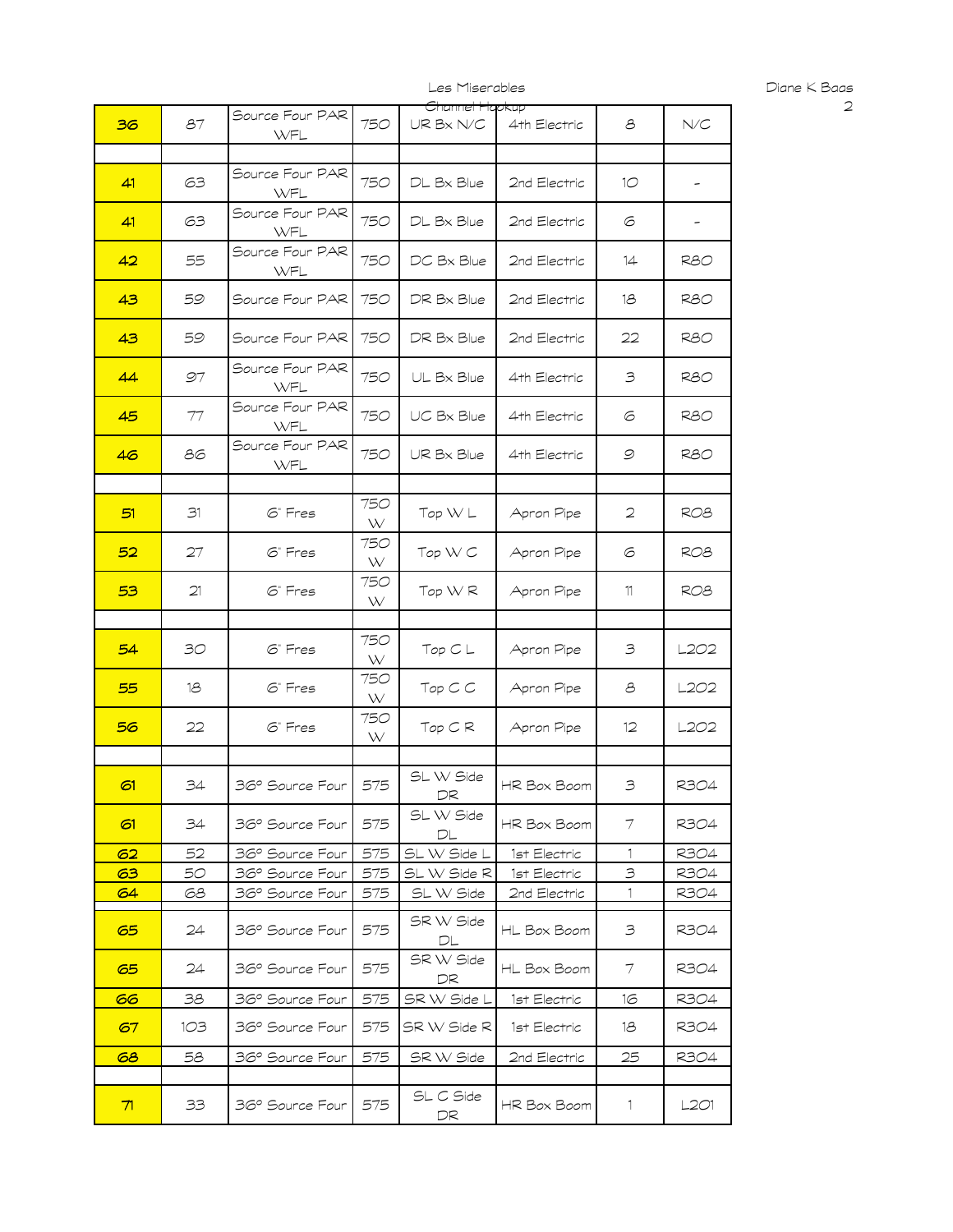| 36 | 87  | Source Four PAR<br>WFL | 750      | <del>Channel Hapkup</del><br>$\mathsf{UR}\,\mathsf{B}\mathsf{x}\,\mathsf{N}/\mathsf{C}$ | 4th Electric | 8            | N/C             |
|----|-----|------------------------|----------|-----------------------------------------------------------------------------------------|--------------|--------------|-----------------|
|    |     |                        |          |                                                                                         |              |              |                 |
| 41 | 63  | Source Four PAR<br>WFL | 750      | DL Bx Blue                                                                              | 2nd Electric | 10           | -               |
| 41 | 63  | Source Four PAR<br>WFL | 750      | DL Bx Blue                                                                              | 2nd Electric | 6            | -               |
| 42 | 55  | Source Four PAR<br>WFL | 750      | DC Bx Blue                                                                              | 2nd Electric | 14           | <b>R80</b>      |
| 43 | 59  | Source Four PAR        | 750      | DR Bx Blue                                                                              | 2nd Electric | 18           | R80             |
| 43 | 59  | Source Four PAR        | 750      | DR Bx Blue                                                                              | 2nd Electric | 22           | R80             |
| 44 | 97  | Source Four PAR<br>WFL | 750      | UL Bx Blue                                                                              | 4th Electric | 3            | R80             |
| 45 | 77  | Source Four PAR<br>WFL | 750      | UC Bx Blue                                                                              | 4th Electric | 6            | R80             |
| 46 | 86  | Source Four PAR<br>WFL | 750      | UR Bx Blue                                                                              | 4th Electric | 9            | R80             |
|    |     |                        |          |                                                                                         |              |              |                 |
| 51 | 31  | 6" Fres                | 750<br>W | Top WL                                                                                  | Apron Pipe   | 2            | RO <sub>8</sub> |
| 52 | 27  | 6" Fres                | 750<br>W | Top WC                                                                                  | Apron Pipe   | 6            | RO8             |
| 53 | 21  | 6" Fres                | 750<br>W | Top WR                                                                                  | Apron Pipe   | 11           | ROB             |
|    |     |                        |          |                                                                                         |              |              |                 |
| 54 | 30  | 6" Fres                | 750<br>W | Top C L                                                                                 | Apron Pipe   | 3            | L2O2            |
| 55 | 18  | 6" Fres                | 750<br>W | $Top \subset C$                                                                         | Apron Pipe   | 8            | L2O2            |
| 56 | 22  | 6" Fres                | 750<br>W | TopCR                                                                                   | Apron Pipe   | $12 \,$      | L2O2            |
|    |     |                        |          |                                                                                         |              |              |                 |
| 61 | 34  | 36° Source Four        | 575      | SL W Side<br>DR                                                                         | HR Box Boom  | 3            | R304            |
| 61 | 34  | 36° Source Four        | 575      | SL W Side<br>DL                                                                         | HR Box Boom  | 7            | R304            |
| 62 | 52  | 36° Source Four        | 575      | SL W Side L                                                                             | 1st Electric | $\mathbf{1}$ | R304            |
| 63 | 50  | 36° Source Four        | 575      | SL W Side R                                                                             | 1st Electric | 3            | R304            |
| 64 | 68  | 36° Source Four        | 575      | SL W Side                                                                               | 2nd Electric | 1            | R304            |
| 65 | 24  | 36° Source Four        | 575      | SR W Side<br>DL                                                                         | HL Box Boom  | З            | R304            |
| 65 | 24  | 36° Source Four        | 575      | SR W Side<br>DR                                                                         | HL Box Boom  | 7            | R304            |
| 66 | 38  | 36° Source Four        | 575      | SR W Side L                                                                             | 1st Electric | 16           | R304            |
| 67 | 1O3 | 36° Source Four        | 575      | SR W Side R                                                                             | 1st Electric | 18           | R304            |
| 68 | 58  | 36° Source Four        | 575      | SR W Side                                                                               | 2nd Electric | 25           | R304            |
|    |     |                        |          |                                                                                         |              |              |                 |
| 71 | 33  | 36° Source Four        | 575      | SL C Side<br>DR                                                                         | HR Box Boom  | 1            | L2O1            |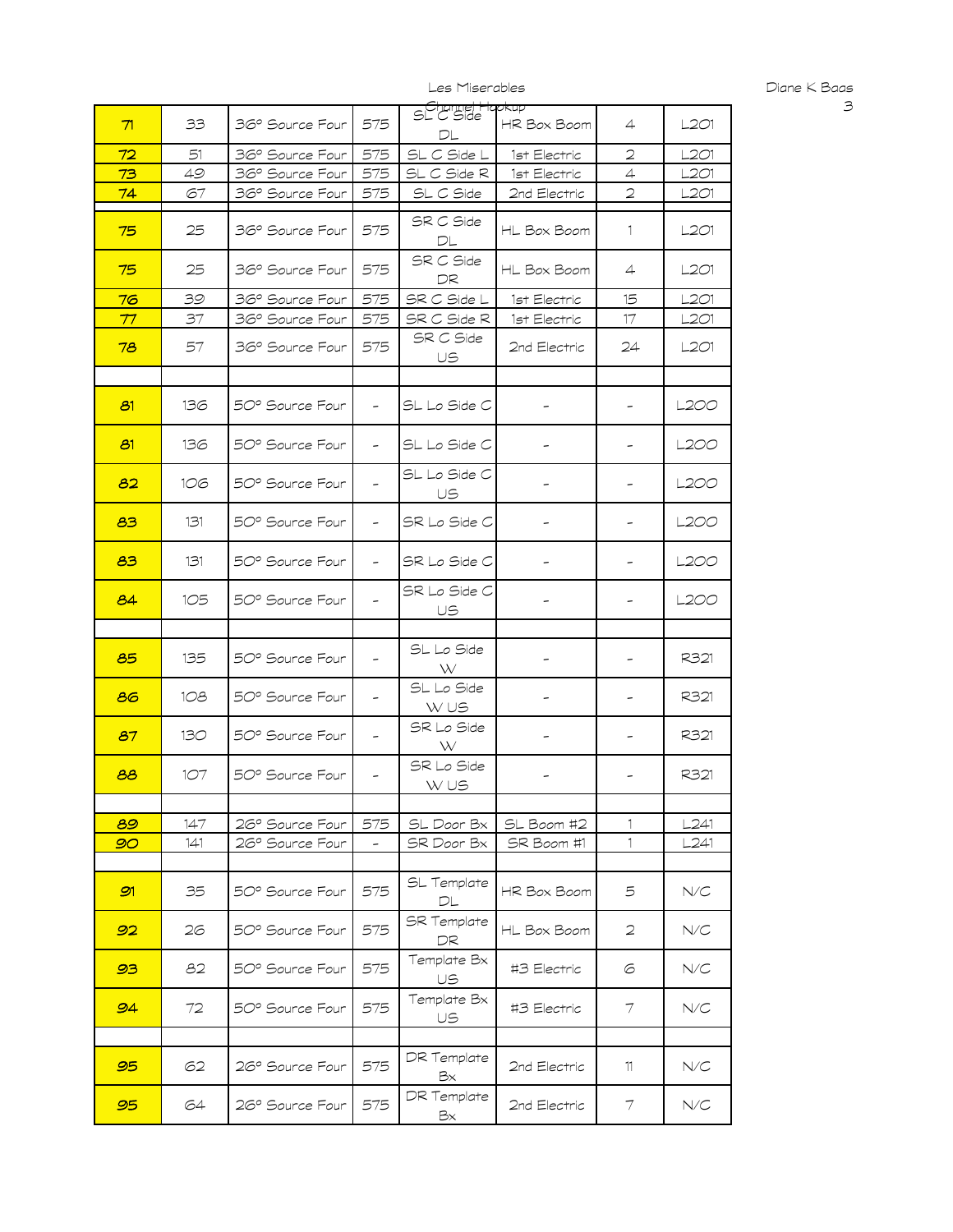| 71 | 33  | 36° Source Four | 575                      | - Channel Hapkup<br>SL C Side<br>DL | HR Box Boom  | $\overline{4}$           | L2O1 |
|----|-----|-----------------|--------------------------|-------------------------------------|--------------|--------------------------|------|
| 72 | 51  | 36° Source Four | 575                      | SL C Side L                         | 1st Electric | 2                        | -201 |
| 73 | 49  | 36° Source Four | 575                      | SL C Side R                         | 1st Electric | $\overline{4}$           | L201 |
| 74 | 67  | 36° Source Four | 575                      | SL C Side                           | 2nd Electric | $\overline{2}$           | L201 |
| 75 | 25  | 36° Source Four | 575                      | SR C Side<br>DL                     | HL Box Boom  | 1                        | L201 |
| 75 | 25  | 36° Source Four | 575                      | SR C Side<br>DR                     | HL Box Boom  | $\overline{4}$           | L2O1 |
| 76 | 39  | 36° Source Four | 575                      | SR C Side L                         | 1st Electric | 15                       | L2O1 |
| 77 | 37  | 36° Source Four | 575                      | SR C Side R                         | 1st Electric | 17                       | L201 |
| 78 | 57  | 36° Source Four | 575                      | SR C Side<br>US                     | 2nd Electric | 24                       | L201 |
| 81 | 136 | 50° Source Four | $\overline{\phantom{a}}$ | SL Lo Side C                        |              |                          | L2OO |
| 81 | 136 | 50° Source Four | $\overline{\phantom{a}}$ | SL Lo Side C                        |              |                          | L2OO |
| 82 | 106 | 50° Source Four | $\overline{\phantom{a}}$ | SL Lo Side C<br>US                  |              |                          | L2OO |
| 83 | 131 | 50° Source Four | $\overline{\phantom{a}}$ | SR Lo Side C                        |              |                          | L2OO |
| 83 | 131 | 50° Source Four | $\overline{\phantom{a}}$ | SR Lo Side C                        |              |                          | L2OO |
| 84 | 105 | 50° Source Four | $\overline{\phantom{0}}$ | SR Lo Side C<br>US                  |              |                          | L2OO |
|    |     |                 |                          |                                     |              |                          |      |
| 85 | 135 | 50° Source Four | $\overline{\phantom{a}}$ | SL Lo Side<br>W                     |              |                          | R321 |
| 86 | 108 | 50° Source Four | $\overline{\phantom{a}}$ | SL Lo Side<br>W US                  | -            | ۰                        | R321 |
| 87 | 130 | 50° Source Four | $\overline{\phantom{a}}$ | SR Lo Side<br>W                     | -            | $\overline{\phantom{a}}$ | R321 |
| 88 | 107 | 50° Source Four | $\overline{\phantom{a}}$ | SR Lo Side<br>W US                  |              |                          | R321 |
|    |     |                 |                          |                                     |              |                          |      |
| 89 | 147 | 26° Source Four | 575                      | SL Door Bx                          | SL Boom #2   | 1                        | L241 |
| 90 | 141 | 26° Source Four | $\overline{\phantom{a}}$ | SR Door Bx                          | SR Boom #1   | $\mathbf{1}$             | L241 |
| 91 | 35  | 50° Source Four | 575                      | SL Template<br>DL                   | HR Box Boom  | 5                        | N/C  |
| 92 | 26  | 50° Source Four | 575                      | <b>SR</b> Template<br>DR            | HL Box Boom  | $\mathfrak{D}$           | N/C  |
| 93 | 82  | 50° Source Four | 575                      | Template Bx<br>US                   | #3 Electric  | 6                        | N/C  |
| 94 | 72  | 50° Source Four | 575                      | Template Bx<br>US                   | #3 Electric  | 7                        | N/C  |
|    |     |                 |                          |                                     |              |                          |      |
| 95 | 62  | 26° Source Four | 575                      | DR Template<br>Bx                   | 2nd Electric | 11                       | N/C  |
| 95 | 64  | 26° Source Four | 575                      | DR Template<br>Bх                   | 2nd Electric | 7                        | N/C  |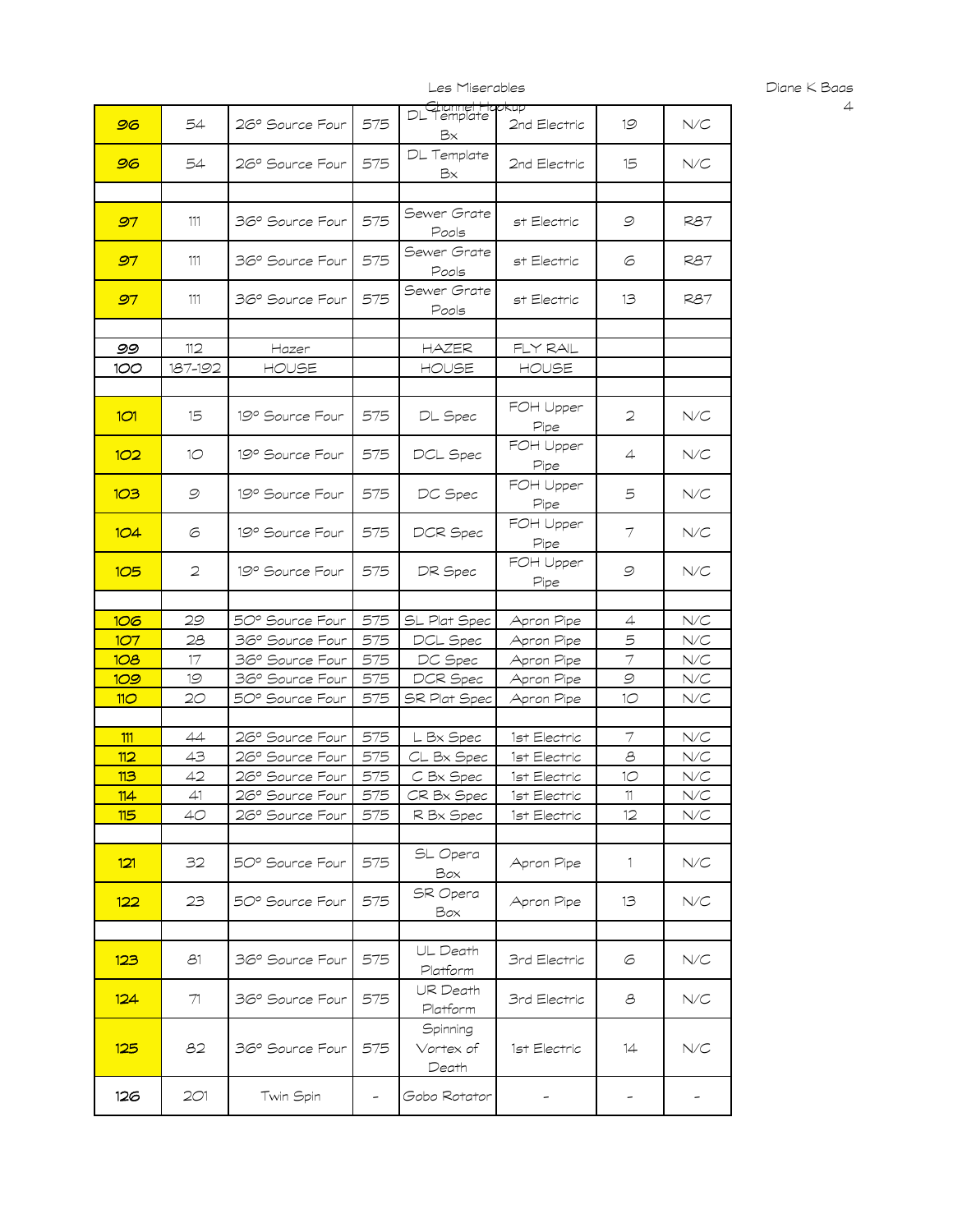| 96             | 54           | 26° Source Four | 575 | DL Template<br>DL Template<br>Bх | 2nd Electric      | 19                       | N/C                       |
|----------------|--------------|-----------------|-----|----------------------------------|-------------------|--------------------------|---------------------------|
| 96             | 54           | 26° Source Four | 575 | DL Template<br>Bx                | 2nd Electric      | 15                       | N/C                       |
|                |              |                 |     |                                  |                   |                          |                           |
| 97             | 111          | 36° Source Four | 575 | Sewer Grate<br>Pools             | st Electric       | 9                        | <b>R87</b>                |
| 97             | 111          | 36° Source Four | 575 | Sewer Grate<br>Pools             | st Electric       | 6                        | <b>R87</b>                |
| 97             | 111          | 36° Source Four | 575 | Sewer Grate<br>Pools             | st Electric       | 13                       | <b>R87</b>                |
|                |              |                 |     |                                  |                   |                          |                           |
| 99             | 112          | Hazer           |     | HAZER                            | FLY RAL           |                          |                           |
| 100            | 187-192      | HOUSE           |     | HOUSE                            | HOUSE             |                          |                           |
|                |              |                 |     |                                  |                   |                          |                           |
| 1 <sub>0</sub> | 15           | 19° Source Four | 575 | DL Spec                          | FOH Upper<br>Pipe | 2                        | N/C                       |
| 102            | $10^{\circ}$ | 19° Source Four | 575 | DCL Spec                         | FOH Upper<br>Pipe | 4                        | N/C                       |
| 103            | 9            | 19° Source Four | 575 | DC Spec                          | FOH Upper<br>Pipe | 5                        | N/C                       |
| 104            | 6            | 19° Source Four | 575 | DCR Spec                         | FOH Upper<br>Pipe | 7                        | N/C                       |
| 105            | 2            | 19° Source Four | 575 | DR Spec                          | FOH Upper<br>Pipe | 9                        | N/C                       |
|                |              |                 |     |                                  |                   |                          |                           |
| 106            | 29           | 50° Source Four | 575 | SL Plat Spec                     | Apron Pipe        | 4                        | N/C                       |
| 107            | 28           | 36° Source Four | 575 | DCL Spec                         | Apron Pipe        | 5                        | N/C                       |
| 108            | 17           | 36° Source Four | 575 | DC Spec                          | Apron Pipe        | $\tau$                   | N/C                       |
| 109            | 19           | 36° Source Four | 575 | DCR Spec                         | Apron Pipe        | $\mathcal{Q}$            | N/C                       |
| 110            | 20           | 50° Source Four | 575 | SR Plat Spec                     | Apron Pipe        | 10                       | ${\mathsf N}/{\mathsf C}$ |
|                |              |                 |     |                                  |                   |                          |                           |
| 111            | 44           | 26° Source Four | 575 | L Bx Spec                        | 1st Electric      | $\overline{\mathcal{I}}$ | ${\mathsf N}/{\mathsf C}$ |
| 112            | 43           | 26° Source Four | 575 | CL Bx Spec                       | 1st Electric      | 8                        | N/C                       |
| 113            | 42           | 26° Source Four | 575 | C Bx Spec                        | 1st Electric      | 10                       | N/C                       |
| 114            | 41           | 26° Source Four | 575 | CR Bx Spec                       | 1st Electric      | $11\,$                   | N/C                       |
| 115            | 40           | 26° Source Four | 575 | R Bx Spec                        | 1st Electric      | 12                       | N/C                       |
| 121            | 32           | 50° Source Four | 575 | SL Opera<br>Box                  | Apron Pipe        | $\mathbf{1}$             | $N\!/\!C$                 |
| 122            | 23           | 50° Source Four | 575 | SR Opera<br>Box                  | Apron Pipe        | 13                       | N/C                       |
|                |              |                 |     |                                  |                   |                          |                           |
| 123            | 81           | 36° Source Four | 575 | UL Death<br>Platform             | 3rd Electric      | 6                        | $N\!/\!C$                 |
| 124            | 71           | 36° Source Four | 575 | UR Death<br>Platform             | 3rd Electric      | 8                        | $N\!/\!C$                 |
| 125            | 82           | 36° Source Four | 575 | Spinning<br>Vortex of<br>Death   | 1st Electric      | 14                       | N/C                       |
| 126            | 2O1          | Twin Spin       | -   | Gobo Rotator                     | -                 |                          |                           |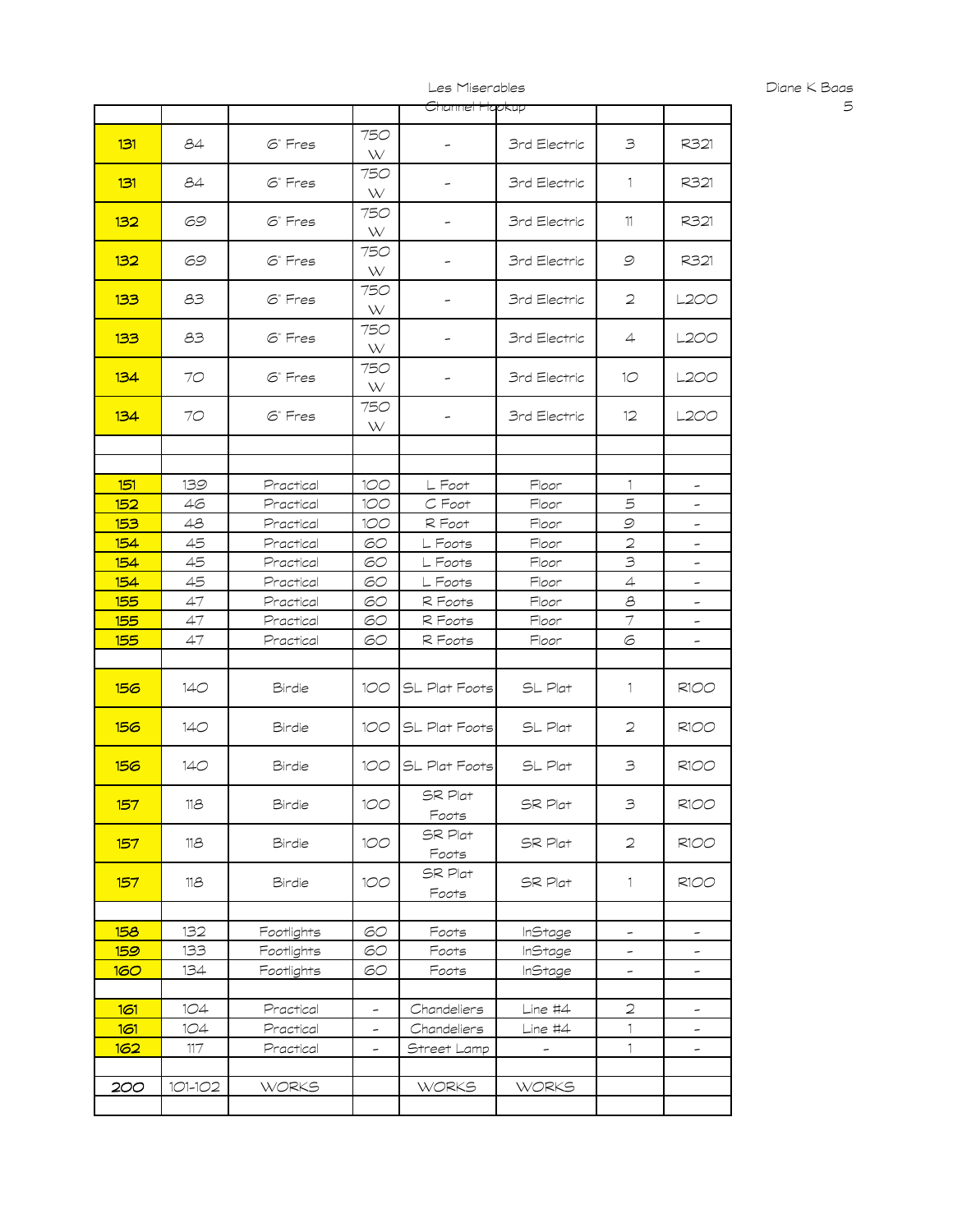|            |         |              |                          | Channel Hapkup   |                     |                          |                          |
|------------|---------|--------------|--------------------------|------------------|---------------------|--------------------------|--------------------------|
|            |         |              |                          |                  |                     |                          |                          |
| 131        | 84      | 6" Fres      | 750<br>W                 | -                | 3rd Electric        | 3                        | R321                     |
| 131        | 84      | $6°$ Fres    | 750<br>W                 | -                | 3rd Electric        | $\mathbf{1}$             | R321                     |
| 132        | 69      | 6" Fres      | 750<br>W                 | -                | 3rd Electric        | 11                       | R321                     |
| 132        | 69      | 6" Fres      | 750<br>W                 | -                | 3rd Electric        | 9                        | R321                     |
| 133        | 83      | 6" Fres      | 750<br>W                 |                  | <b>3rd Electric</b> | 2                        | L2OO                     |
| 133        | 83      | 6" Fres      | 750<br>W                 |                  | 3rd Electric        | 4                        | L2OO                     |
| 134        | 70      | 6" Fres      | 750<br>W                 | -                | 3rd Electric        | 1O                       | L2OO                     |
| 134        | 70      | 6" Fres      | 750<br>W                 | -                | 3rd Electric        | $12 \,$                  | L2OO                     |
|            |         |              |                          |                  |                     |                          |                          |
|            |         |              |                          |                  |                     |                          |                          |
| 151        | 139     | Practical    | 100                      | L Foot           | Floor               | 1                        | -                        |
| 152        | 46      | Practical    | 100                      | C Foot           | Floor               | 5                        | -                        |
| 153        | 48      | Practical    | 100                      | R Foot           | Floor               | 9                        | -                        |
| 154        | 45      | Practical    | 60                       | L Foots          | Floor               | $\mathfrak{D}$           | -                        |
| 154        | 45      | Practical    | 60                       | L Foots          | Floor               | 3                        | -                        |
| 154        | 45      | Practical    | 60                       | L Foots          | Floor               | 4                        | -                        |
| 155        | 47      | Practical    | 60                       | R Foots          | Floor               | $\mathcal S$             | $\overline{\phantom{a}}$ |
| 155        | 47      | Practical    | 60                       | R Foots          | Floor               | $\overline{\mathcal{I}}$ |                          |
| 155        | 47      | Practical    | 60                       | R Foots          | Floor               | 6                        | -                        |
|            |         |              |                          |                  |                     |                          |                          |
| 156        | 140     | Birdie       | 100                      | SL Plat Foots    | SL Plat             | 1                        | <b>R100</b>              |
| 156        | 140     | Birdie       | 100                      | SL Plat Foots    | SL Plat             | 2                        | <b>R100</b>              |
| 156        | 140     | Birdie       | 100                      | SL Plat Foots    | SL Plat             | 3                        | <b>R100</b>              |
| 157        | 118     | Birdie       | 100                      | SR Plat<br>Foots | SR Plat             | $\mathbf{B}$             | <b>R100</b>              |
| 157        | 118     | Birdie       | 100                      | SR Plat<br>Foots | SR Plat             | 2                        | <b>R100</b>              |
| 157        | 118     | Birdie       | 100                      | SR Plat<br>Foots | SR Plat             | $\mathbf{1}$             | R1OO                     |
|            |         |              |                          |                  |                     |                          |                          |
| 158        | 132     | Footlights   | 60                       | Foots            | InStage             | -                        | $\overline{\phantom{a}}$ |
| <u>159</u> | 133     | Footlights   | 60                       | Foots            | <b>InStage</b>      | -                        | -                        |
| <b>160</b> | 134     | Footlights   | 60                       | Foots            | <b>InStage</b>      | $\overline{\phantom{a}}$ | -                        |
|            |         |              |                          |                  |                     |                          |                          |
| 161        | 1O4     | Practical    | $\overline{\phantom{a}}$ | Chandeliers      | $Line$ #4           | $\overline{2}$           | $\overline{\phantom{a}}$ |
| 161        | 1O4     | Practical    | $\overline{\phantom{a}}$ | Chandeliers      | $Line$ #4           | $\mathbf{1}$             | -                        |
| 162        | $117\,$ | Practical    | -                        | Street Lamp      | -                   | $\mathbf{1}$             | $\overline{\phantom{a}}$ |
|            |         |              |                          |                  |                     |                          |                          |
| 200        | 101-102 | <b>WORKS</b> |                          | <b>WORKS</b>     | <b>WORKS</b>        |                          |                          |
|            |         |              |                          |                  |                     |                          |                          |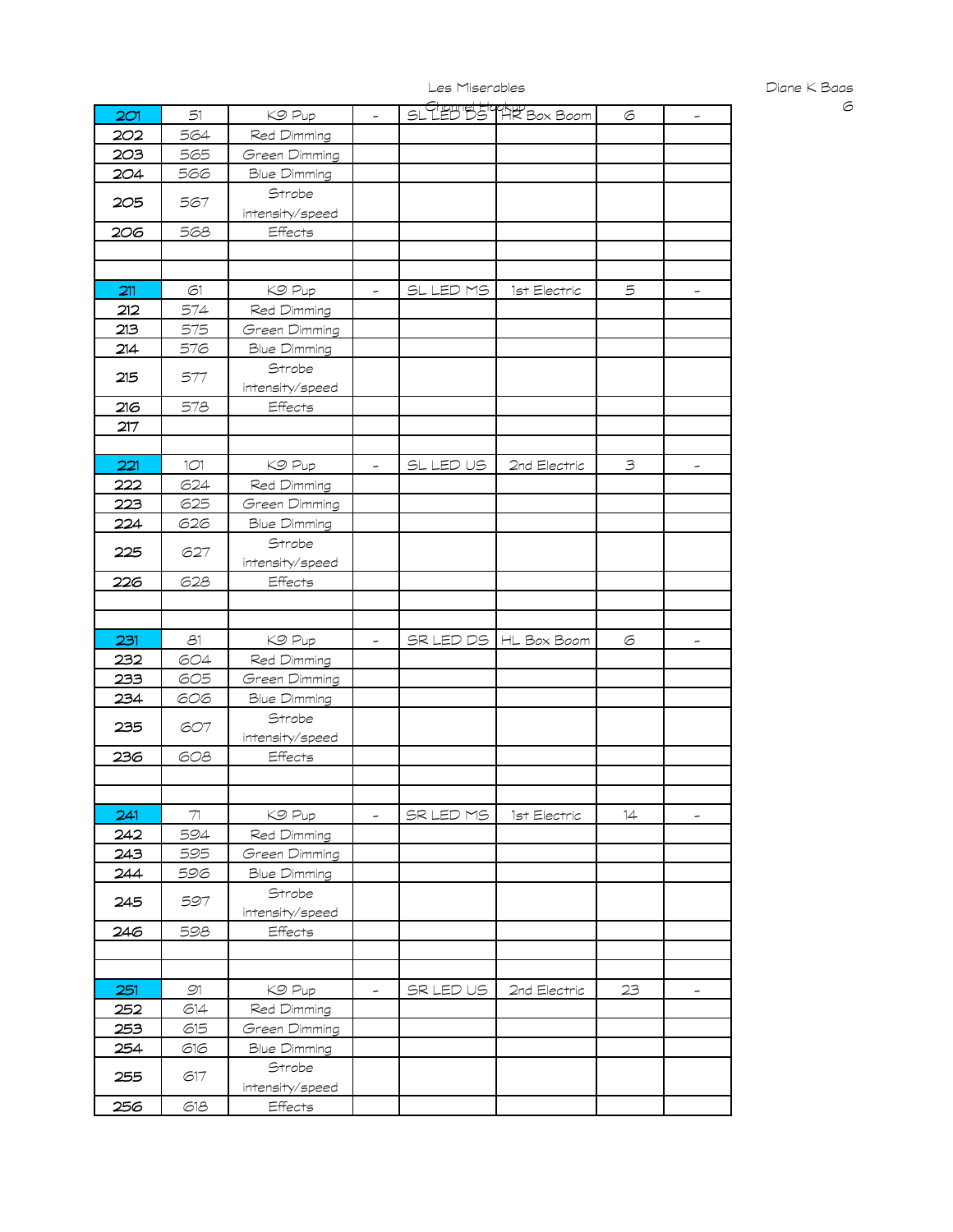| 2C1 | 51           | KO Pup                        | $\overline{a}$           |           | SL LED DS HR Box Boom | 6              | $\overline{\phantom{a}}$ |
|-----|--------------|-------------------------------|--------------------------|-----------|-----------------------|----------------|--------------------------|
| 202 | 564          | Red Dimming                   |                          |           |                       |                |                          |
| 203 | 565          | Green Dimming                 |                          |           |                       |                |                          |
| 204 | 566          | <b>Blue Dimming</b>           |                          |           |                       |                |                          |
| 205 | 567          | Strobe                        |                          |           |                       |                |                          |
|     |              | intensity/speed               |                          |           |                       |                |                          |
| 206 | 568          | Effects                       |                          |           |                       |                |                          |
|     |              |                               |                          |           |                       |                |                          |
|     |              |                               |                          |           |                       |                |                          |
| 211 | 61           | KO Pup                        | -                        | SL LED MS | 1st Electric          | 5              | $\overline{\phantom{a}}$ |
| 212 | 574          | Red Dimming                   |                          |           |                       |                |                          |
| 213 | 575          | Green Dimming                 |                          |           |                       |                |                          |
| 214 | 576          | <b>Blue Dimming</b>           |                          |           |                       |                |                          |
|     |              | Strobe                        |                          |           |                       |                |                          |
| 215 | 577          | intensity/speed               |                          |           |                       |                |                          |
| 216 | 578          | Effects                       |                          |           |                       |                |                          |
| 217 |              |                               |                          |           |                       |                |                          |
|     |              |                               |                          |           |                       |                |                          |
| 221 | 1O1          | KO Pup                        | $\overline{\phantom{a}}$ | SL LED US | 2nd Electric          | $\mathfrak{Z}$ | -                        |
| 222 | 624          | Red Dimming                   |                          |           |                       |                |                          |
| 223 | 625          | Green Dimming                 |                          |           |                       |                |                          |
|     |              |                               |                          |           |                       |                |                          |
| 224 | 626          | <b>Blue Dimming</b><br>Strobe |                          |           |                       |                |                          |
| 225 | 627          |                               |                          |           |                       |                |                          |
|     |              | intensity/speed               |                          |           |                       |                |                          |
| 226 | 628          | Effects                       |                          |           |                       |                |                          |
|     |              |                               |                          |           |                       |                |                          |
|     |              |                               |                          |           |                       |                |                          |
|     |              |                               |                          |           |                       |                |                          |
| 231 | 81           | KO Pup                        | $\overline{\phantom{0}}$ | SR LED DS | HL Box Boom           | 6              | $\overline{\phantom{a}}$ |
| 232 | 604          | Red Dimming                   |                          |           |                       |                |                          |
| 233 | 605          | Green Dimming                 |                          |           |                       |                |                          |
| 234 | 606          | Blue Dimming                  |                          |           |                       |                |                          |
|     |              | Strobe                        |                          |           |                       |                |                          |
| 235 | 607          | intensity/speed               |                          |           |                       |                |                          |
| 236 | 608          | Effects                       |                          |           |                       |                |                          |
|     |              |                               |                          |           |                       |                |                          |
|     |              |                               |                          |           |                       |                |                          |
| 241 | $\mathcal T$ | KO Pup                        | $\overline{\phantom{a}}$ | SR LED MS | 1st Electric          | 14             | $\overline{\phantom{a}}$ |
| 242 | 594          | Red Dimming                   |                          |           |                       |                |                          |
| 243 | 595          | Green Dimming                 |                          |           |                       |                |                          |
| 244 | 596          | <b>Blue Dimming</b>           |                          |           |                       |                |                          |
|     |              | Strobe                        |                          |           |                       |                |                          |
| 245 | 597          | intensity/speed               |                          |           |                       |                |                          |
| 246 | 598          | Effects                       |                          |           |                       |                |                          |
|     |              |                               |                          |           |                       |                |                          |
|     |              |                               |                          |           |                       |                |                          |
| 251 | 91           | KO Pup                        | -                        | SR LED US |                       | 23             | -                        |
| 252 | 614          |                               |                          |           | 2nd Electric          |                |                          |
| 253 |              | Red Dimming                   |                          |           |                       |                |                          |
| 254 | 615          | Green Dimming                 |                          |           |                       |                |                          |
|     | 616          | <b>Blue Dimming</b>           |                          |           |                       |                |                          |
| 255 | 617          | Strobe                        |                          |           |                       |                |                          |
| 256 | 618          | intensity/speed<br>Effects    |                          |           |                       |                |                          |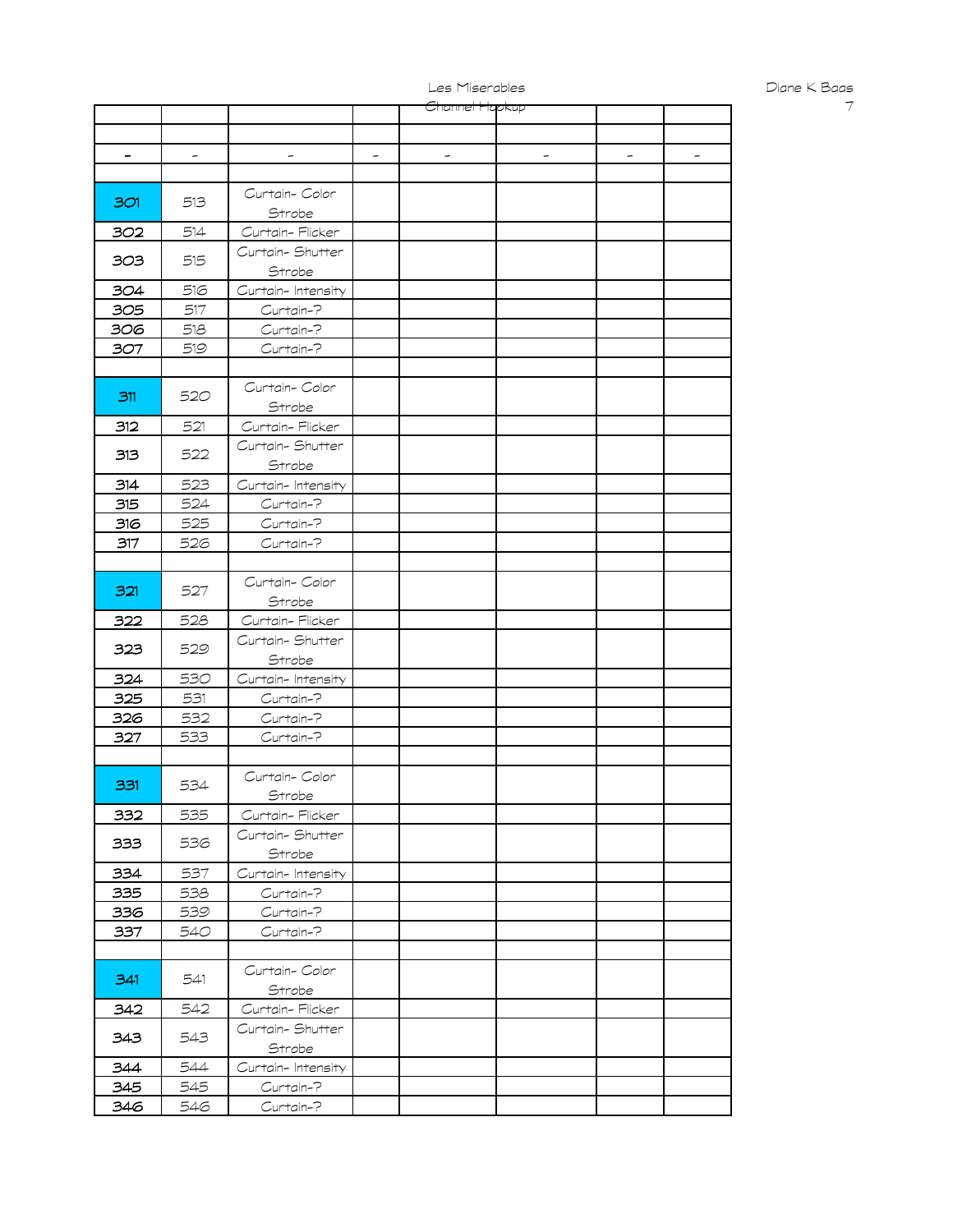|     |     |                   | <del>Channel Hao</del> kup |  |  |
|-----|-----|-------------------|----------------------------|--|--|
|     |     |                   |                            |  |  |
|     |     |                   |                            |  |  |
|     |     |                   |                            |  |  |
|     |     |                   |                            |  |  |
|     |     | Curtain-Color     |                            |  |  |
| 301 | 513 | Strobe            |                            |  |  |
|     |     |                   |                            |  |  |
| 302 | 514 | Curtain-Flicker   |                            |  |  |
| 303 | 515 | Curtain-Shutter   |                            |  |  |
|     |     | Strobe            |                            |  |  |
| 304 | 516 | Curtain-Intensity |                            |  |  |
| 305 | 517 | Curtain-?         |                            |  |  |
| 306 | 518 | Curtain-?         |                            |  |  |
| 307 | 519 | Curtain-?         |                            |  |  |
|     |     |                   |                            |  |  |
|     |     |                   |                            |  |  |
| 311 | 520 | Curtain-Color     |                            |  |  |
|     |     | Strobe            |                            |  |  |
| 312 | 521 | Curtain-Flicker   |                            |  |  |
|     |     | Curtain-Shutter   |                            |  |  |
| 313 | 522 | Strobe            |                            |  |  |
| 314 | 523 | Curtain-Intensity |                            |  |  |
|     |     |                   |                            |  |  |
| 315 | 524 | Curtain-?         |                            |  |  |
| 316 | 525 | Curtain-?         |                            |  |  |
| 317 | 526 | Curtain-?         |                            |  |  |
|     |     |                   |                            |  |  |
|     |     | Curtain-Color     |                            |  |  |
| 321 | 527 | Strobe            |                            |  |  |
| 322 | 528 | Curtain-Flicker   |                            |  |  |
|     |     |                   |                            |  |  |
| 323 | 529 | Curtain-Shutter   |                            |  |  |
|     |     | Strobe            |                            |  |  |
| 324 | 530 | Curtain-Intensity |                            |  |  |
| 325 | 531 | Curtain-?         |                            |  |  |
| 326 | 532 | Curtain-?         |                            |  |  |
| 327 | 533 | Curtain-?         |                            |  |  |
|     |     |                   |                            |  |  |
|     |     | Curtain-Color     |                            |  |  |
| 331 | 534 |                   |                            |  |  |
|     |     | Strobe            |                            |  |  |
| 332 | 535 | Curtain-Flicker   |                            |  |  |
| 333 | 536 | Curtain-Shutter   |                            |  |  |
|     |     | Strobe            |                            |  |  |
| 334 | 537 | Curtain-Intensity |                            |  |  |
| 335 | 538 | Curtain-?         |                            |  |  |
| 336 | 539 | Curtain-?         |                            |  |  |
| 337 | 540 | Curtain-?         |                            |  |  |
|     |     |                   |                            |  |  |
|     |     |                   |                            |  |  |
| 341 | 541 | Curtain-Color     |                            |  |  |
|     |     | Strobe            |                            |  |  |
| 342 | 542 | Curtain-Flicker   |                            |  |  |
|     |     | Curtain-Shutter   |                            |  |  |
| 343 | 543 | Strobe            |                            |  |  |
| 344 | 544 | Curtain-Intensity |                            |  |  |
| 345 | 545 | Curtain-?         |                            |  |  |
|     |     |                   |                            |  |  |
| 346 | 546 | Curtain-?         |                            |  |  |